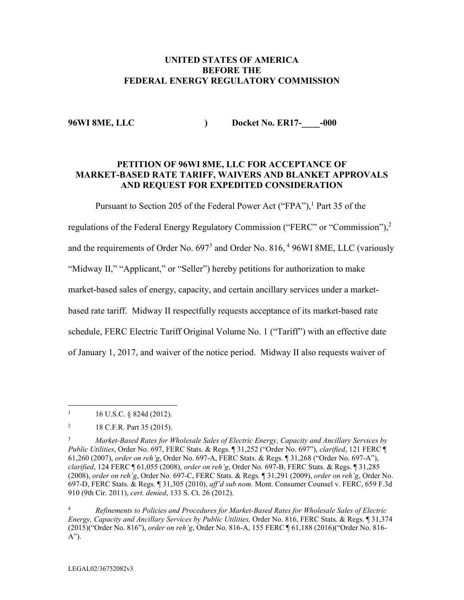# **UNITED STATES OF AMERICA BEFORE THE FEDERAL ENERGY REGULATORY COMMISSION**

**96WI 8ME, LLC ) Docket No. ER17-\_\_\_\_-000**

## **PETITION OF 96WI 8ME, LLC FOR ACCEPTANCE OF MARKET-BASED RATE TARIFF, WAIVERS AND BLANKET APPROVALS AND REQUEST FOR EXPEDITED CONSIDERATION**

Pursuant to Section 205 of the Federal Power Act ("FPA"),<sup>1</sup> Part 35 of the

regulations of the Federal Energy Regulatory Commission ("FERC" or "Commission"),<sup>2</sup>

and the requirements of Order No. 697<sup>3</sup> and Order No. 816, <sup>4</sup> 96WI 8ME, LLC (variously

"Midway II," "Applicant," or "Seller") hereby petitions for authorization to make

market-based sales of energy, capacity, and certain ancillary services under a market-

based rate tariff. Midway II respectfully requests acceptance of its market-based rate

schedule, FERC Electric Tariff Original Volume No. 1 ("Tariff") with an effective date

of January 1, 2017, and waiver of the notice period. Midway II also requests waiver of

<sup>4</sup> *Refinements to Policies and Procedures for Market-Based Rates for Wholesale Sales of Electric Energy, Capacity and Ancillary Services by Public Utilities,* Order No. 816, FERC Stats. & Regs. ¶ 31,374 (2015)("Order No. 816"), *order on reh'g*, Order No. 816-A, 155 FERC ¶ 61,188 (2016)("Order No. 816- A").

 $1 \quad 16 \text{ U.S.C. }$  § 824d (2012).

<sup>&</sup>lt;sup>2</sup> 18 C.F.R. Part 35 (2015).

<sup>3</sup> *Market-Based Rates for Wholesale Sales of Electric Energy, Capacity and Ancillary Services by Public Utilities*, Order No. 697, FERC Stats. & Regs. ¶ 31,252 ("Order No. 697"), *clarified*, 121 FERC ¶ 61,260 (2007), *order on reh'g*, Order No. 697-A, FERC Stats. & Regs. ¶ 31,268 ("Order No. 697-A"), *clarified*, 124 FERC ¶ 61,055 (2008), *order on reh'g*, Order No. 697-B, FERC Stats. & Regs. ¶ 31,285 (2008), *order on reh'g*, Order No. 697-C, FERC Stats. & Regs. ¶ 31,291 (2009), *order on reh'g*, Order No. 697-D, FERC Stats. & Regs. ¶ 31,305 (2010), *aff'd sub nom*. Mont. Consumer Counsel v. FERC, 659 F.3d 910 (9th Cir. 2011), *cert. denied*, 133 S. Ct. 26 (2012).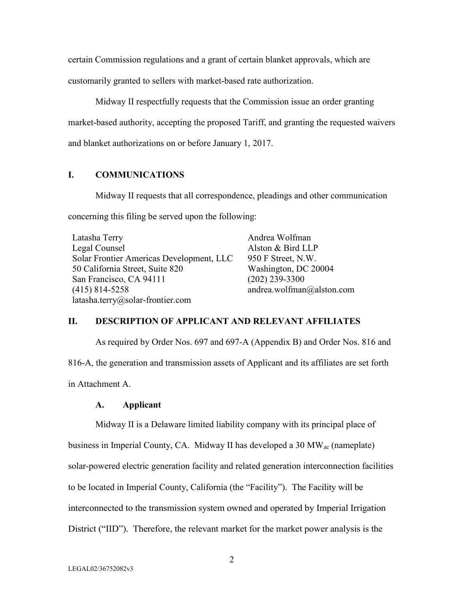certain Commission regulations and a grant of certain blanket approvals, which are

customarily granted to sellers with market-based rate authorization.

Midway II respectfully requests that the Commission issue an order granting market-based authority, accepting the proposed Tariff, and granting the requested waivers and blanket authorizations on or before January 1, 2017.

# **I. COMMUNICATIONS**

Midway II requests that all correspondence, pleadings and other communication concerning this filing be served upon the following:

Latasha Terry Legal Counsel Solar Frontier Americas Development, LLC 50 California Street, Suite 820 San Francisco, CA 94111 (415) 814-5258 latasha.terry@solar-frontier.com

Andrea Wolfman Alston & Bird LLP 950 F Street, N.W. Washington, DC 20004 (202) 239-3300 andrea.wolfman@alston.com

# **II. DESCRIPTION OF APPLICANT AND RELEVANT AFFILIATES**

As required by Order Nos. 697 and 697-A (Appendix B) and Order Nos. 816 and 816-A, the generation and transmission assets of Applicant and its affiliates are set forth in Attachment A.

#### **A. Applicant**

Midway II is a Delaware limited liability company with its principal place of

business in Imperial County, CA. Midway II has developed a 30 MWac (nameplate) solar-powered electric generation facility and related generation interconnection facilities to be located in Imperial County, California (the "Facility"). The Facility will be interconnected to the transmission system owned and operated by Imperial Irrigation District ("IID"). Therefore, the relevant market for the market power analysis is the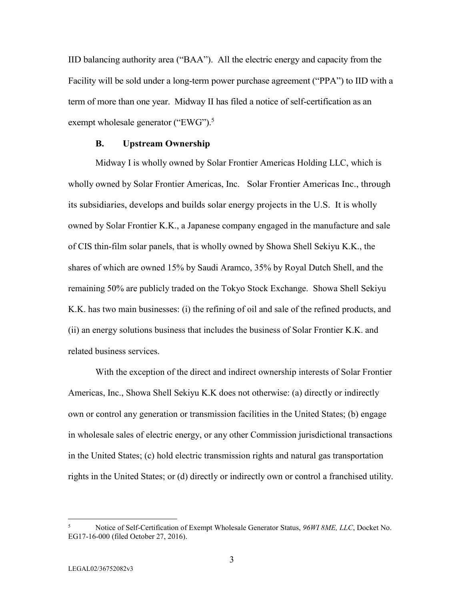IID balancing authority area ("BAA"). All the electric energy and capacity from the Facility will be sold under a long-term power purchase agreement ("PPA") to IID with a term of more than one year. Midway II has filed a notice of self-certification as an exempt wholesale generator ("EWG").<sup>5</sup>

#### **B. Upstream Ownership**

Midway I is wholly owned by Solar Frontier Americas Holding LLC, which is wholly owned by Solar Frontier Americas, Inc. Solar Frontier Americas Inc., through its subsidiaries, develops and builds solar energy projects in the U.S. It is wholly owned by Solar Frontier K.K., a Japanese company engaged in the manufacture and sale of CIS thin-film solar panels, that is wholly owned by Showa Shell Sekiyu K.K., the shares of which are owned 15% by Saudi Aramco, 35% by Royal Dutch Shell, and the remaining 50% are publicly traded on the Tokyo Stock Exchange. Showa Shell Sekiyu K.K. has two main businesses: (i) the refining of oil and sale of the refined products, and (ii) an energy solutions business that includes the business of Solar Frontier K.K. and related business services.

With the exception of the direct and indirect ownership interests of Solar Frontier Americas, Inc., Showa Shell Sekiyu K.K does not otherwise: (a) directly or indirectly own or control any generation or transmission facilities in the United States; (b) engage in wholesale sales of electric energy, or any other Commission jurisdictional transactions in the United States; (c) hold electric transmission rights and natural gas transportation rights in the United States; or (d) directly or indirectly own or control a franchised utility.

<sup>5</sup> Notice of Self-Certification of Exempt Wholesale Generator Status, *96WI 8ME, LLC*, Docket No. EG17-16-000 (filed October 27, 2016).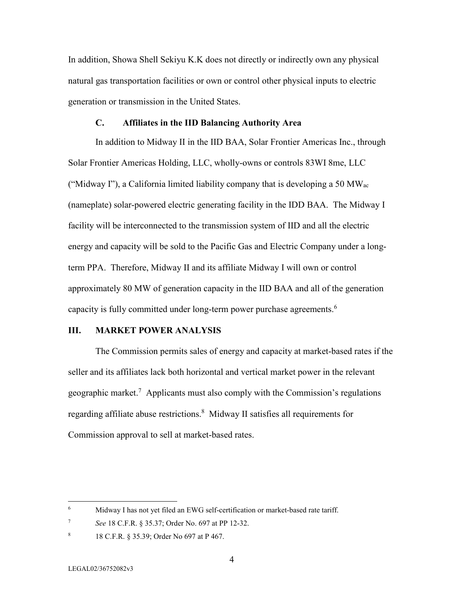In addition, Showa Shell Sekiyu K.K does not directly or indirectly own any physical natural gas transportation facilities or own or control other physical inputs to electric generation or transmission in the United States.

#### **C. Affiliates in the IID Balancing Authority Area**

In addition to Midway II in the IID BAA, Solar Frontier Americas Inc., through Solar Frontier Americas Holding, LLC, wholly-owns or controls 83WI 8me, LLC ("Midway I"), a California limited liability company that is developing a 50 MW<sub>ac</sub> (nameplate) solar-powered electric generating facility in the IDD BAA. The Midway I facility will be interconnected to the transmission system of IID and all the electric energy and capacity will be sold to the Pacific Gas and Electric Company under a longterm PPA. Therefore, Midway II and its affiliate Midway I will own or control approximately 80 MW of generation capacity in the IID BAA and all of the generation capacity is fully committed under long-term power purchase agreements.<sup>6</sup>

# **III. MARKET POWER ANALYSIS**

The Commission permits sales of energy and capacity at market-based rates if the seller and its affiliates lack both horizontal and vertical market power in the relevant geographic market.<sup>7</sup> Applicants must also comply with the Commission's regulations regarding affiliate abuse restrictions.<sup>8</sup> Midway II satisfies all requirements for Commission approval to sell at market-based rates.

<sup>6</sup> Midway I has not yet filed an EWG self-certification or market-based rate tariff.

<sup>7</sup> *See* 18 C.F.R. § 35.37; Order No. 697 at PP 12-32.

<sup>8</sup> 18 C.F.R. § 35.39; Order No 697 at P 467.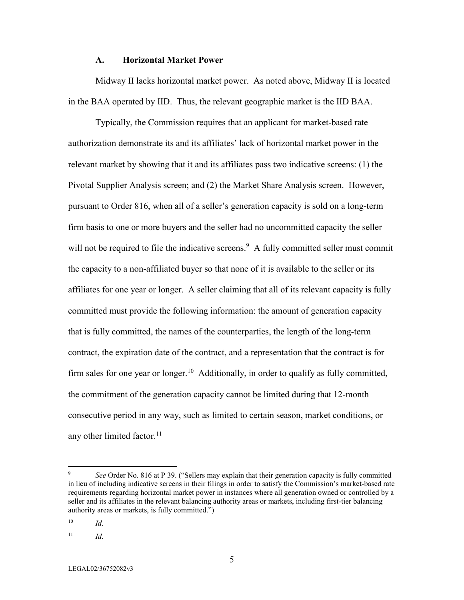#### **A. Horizontal Market Power**

Midway II lacks horizontal market power. As noted above, Midway II is located in the BAA operated by IID. Thus, the relevant geographic market is the IID BAA.

Typically, the Commission requires that an applicant for market-based rate authorization demonstrate its and its affiliates' lack of horizontal market power in the relevant market by showing that it and its affiliates pass two indicative screens: (1) the Pivotal Supplier Analysis screen; and (2) the Market Share Analysis screen. However, pursuant to Order 816, when all of a seller's generation capacity is sold on a long-term firm basis to one or more buyers and the seller had no uncommitted capacity the seller will not be required to file the indicative screens.<sup>9</sup> A fully committed seller must commit the capacity to a non-affiliated buyer so that none of it is available to the seller or its affiliates for one year or longer. A seller claiming that all of its relevant capacity is fully committed must provide the following information: the amount of generation capacity that is fully committed, the names of the counterparties, the length of the long-term contract, the expiration date of the contract, and a representation that the contract is for firm sales for one year or longer.<sup>10</sup> Additionally, in order to qualify as fully committed, the commitment of the generation capacity cannot be limited during that 12-month consecutive period in any way, such as limited to certain season, market conditions, or any other limited factor. $11$ 

<sup>9</sup> *See* Order No. 816 at P 39. ("Sellers may explain that their generation capacity is fully committed in lieu of including indicative screens in their filings in order to satisfy the Commission's market-based rate requirements regarding horizontal market power in instances where all generation owned or controlled by a seller and its affiliates in the relevant balancing authority areas or markets, including first-tier balancing authority areas or markets, is fully committed.")

<sup>10</sup> *Id.*

<sup>11</sup> *Id.*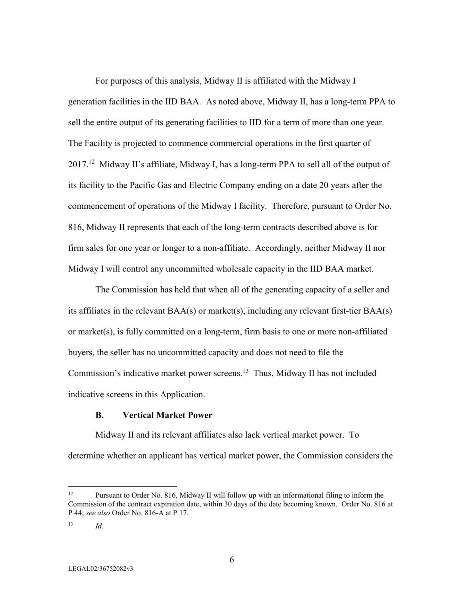For purposes of this analysis, Midway II is affiliated with the Midway I generation facilities in the IID BAA. As noted above, Midway II, has a long-term PPA to sell the entire output of its generating facilities to IID for a term of more than one year. The Facility is projected to commence commercial operations in the first quarter of 2017.<sup>12</sup> Midway II's affiliate, Midway I, has a long-term PPA to sell all of the output of its facility to the Pacific Gas and Electric Company ending on a date 20 years after the commencement of operations of the Midway I facility. Therefore, pursuant to Order No. 816, Midway II represents that each of the long-term contracts described above is for firm sales for one year or longer to a non-affiliate. Accordingly, neither Midway II nor Midway I will control any uncommitted wholesale capacity in the IID BAA market.

The Commission has held that when all of the generating capacity of a seller and its affiliates in the relevant BAA(s) or market(s), including any relevant first-tier BAA(s) or market(s), is fully committed on a long-term, firm basis to one or more non-affiliated buyers, the seller has no uncommitted capacity and does not need to file the Commission's indicative market power screens.<sup>13</sup> Thus, Midway II has not included indicative screens in this Application.

#### **B. Vertical Market Power**

Midway II and its relevant affiliates also lack vertical market power. To determine whether an applicant has vertical market power, the Commission considers the

<sup>&</sup>lt;sup>12</sup> Pursuant to Order No. 816, Midway II will follow up with an informational filing to inform the Commission of the contract expiration date, within 30 days of the date becoming known. Order No. 816 at P 44; *see also* Order No. 816-A at P 17.

<sup>13</sup> *Id.*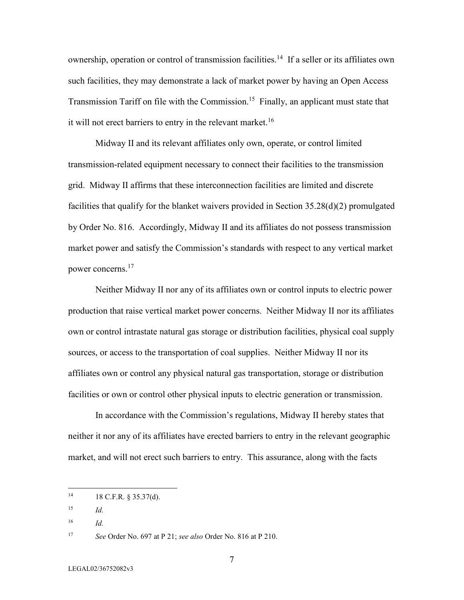ownership, operation or control of transmission facilities.<sup>14</sup> If a seller or its affiliates own such facilities, they may demonstrate a lack of market power by having an Open Access Transmission Tariff on file with the Commission.<sup>15</sup> Finally, an applicant must state that it will not erect barriers to entry in the relevant market.<sup>16</sup>

Midway II and its relevant affiliates only own, operate, or control limited transmission-related equipment necessary to connect their facilities to the transmission grid. Midway II affirms that these interconnection facilities are limited and discrete facilities that qualify for the blanket waivers provided in Section 35.28(d)(2) promulgated by Order No. 816. Accordingly, Midway II and its affiliates do not possess transmission market power and satisfy the Commission's standards with respect to any vertical market power concerns.<sup>17</sup>

Neither Midway II nor any of its affiliates own or control inputs to electric power production that raise vertical market power concerns. Neither Midway II nor its affiliates own or control intrastate natural gas storage or distribution facilities, physical coal supply sources, or access to the transportation of coal supplies. Neither Midway II nor its affiliates own or control any physical natural gas transportation, storage or distribution facilities or own or control other physical inputs to electric generation or transmission.

In accordance with the Commission's regulations, Midway II hereby states that neither it nor any of its affiliates have erected barriers to entry in the relevant geographic market, and will not erect such barriers to entry. This assurance, along with the facts

 $14$  18 C.F.R. § 35.37(d).

<sup>15</sup> *Id.*

<sup>16</sup> *Id.*

<sup>17</sup> *See* Order No. 697 at P 21; *see also* Order No. 816 at P 210.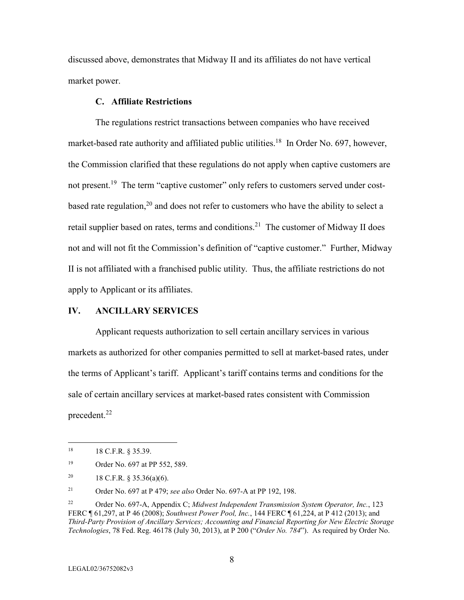discussed above, demonstrates that Midway II and its affiliates do not have vertical market power.

## **C. Affiliate Restrictions**

The regulations restrict transactions between companies who have received market-based rate authority and affiliated public utilities.<sup>18</sup> In Order No. 697, however, the Commission clarified that these regulations do not apply when captive customers are not present.<sup>19</sup> The term "captive customer" only refers to customers served under costbased rate regulation,  $2<sup>0</sup>$  and does not refer to customers who have the ability to select a retail supplier based on rates, terms and conditions.<sup>21</sup> The customer of Midway II does not and will not fit the Commission's definition of "captive customer." Further, Midway II is not affiliated with a franchised public utility. Thus, the affiliate restrictions do not apply to Applicant or its affiliates.

#### **IV. ANCILLARY SERVICES**

Applicant requests authorization to sell certain ancillary services in various markets as authorized for other companies permitted to sell at market-based rates, under the terms of Applicant's tariff. Applicant's tariff contains terms and conditions for the sale of certain ancillary services at market-based rates consistent with Commission precedent.<sup>22</sup>

<sup>21</sup> Order No. 697 at P 479; *see also* Order No. 697-A at PP 192, 198.

<sup>18 18</sup> C.F.R. § 35.39.

<sup>19</sup> Order No. 697 at PP 552, 589.

<sup>&</sup>lt;sup>20</sup> 18 C.F.R. § 35.36(a)(6).

<sup>22</sup> Order No. 697-A, Appendix C; *Midwest Independent Transmission System Operator, Inc.*, 123 FERC ¶ 61,297, at P 46 (2008); *Southwest Power Pool, Inc.*, 144 FERC ¶ 61,224, at P 412 (2013); and *Third-Party Provision of Ancillary Services; Accounting and Financial Reporting for New Electric Storage Technologies*, 78 Fed. Reg. 46178 (July 30, 2013), at P 200 ("*Order No. 784*"). As required by Order No.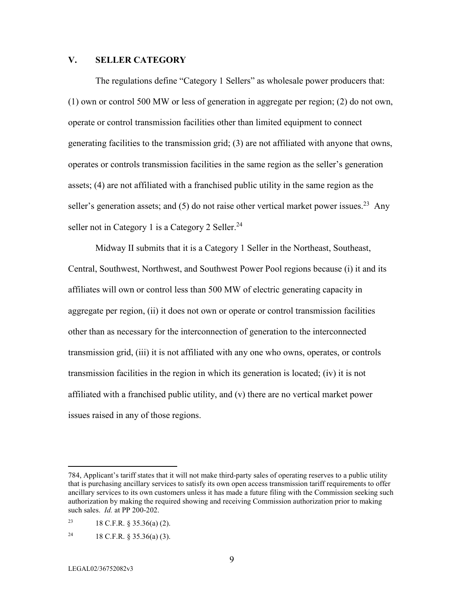# **V. SELLER CATEGORY**

The regulations define "Category 1 Sellers" as wholesale power producers that: (1) own or control 500 MW or less of generation in aggregate per region; (2) do not own, operate or control transmission facilities other than limited equipment to connect generating facilities to the transmission grid; (3) are not affiliated with anyone that owns, operates or controls transmission facilities in the same region as the seller's generation assets; (4) are not affiliated with a franchised public utility in the same region as the seller's generation assets; and  $(5)$  do not raise other vertical market power issues.<sup>23</sup> Any seller not in Category 1 is a Category 2 Seller.<sup>24</sup>

Midway II submits that it is a Category 1 Seller in the Northeast, Southeast, Central, Southwest, Northwest, and Southwest Power Pool regions because (i) it and its affiliates will own or control less than 500 MW of electric generating capacity in aggregate per region, (ii) it does not own or operate or control transmission facilities other than as necessary for the interconnection of generation to the interconnected transmission grid, (iii) it is not affiliated with any one who owns, operates, or controls transmission facilities in the region in which its generation is located; (iv) it is not affiliated with a franchised public utility, and (v) there are no vertical market power issues raised in any of those regions.

<sup>784,</sup> Applicant's tariff states that it will not make third-party sales of operating reserves to a public utility that is purchasing ancillary services to satisfy its own open access transmission tariff requirements to offer ancillary services to its own customers unless it has made a future filing with the Commission seeking such authorization by making the required showing and receiving Commission authorization prior to making such sales. *Id.* at PP 200-202.

<sup>&</sup>lt;sup>23</sup> 18 C.F.R. § 35.36(a) (2).

<sup>24 18</sup> C.F.R.  $\S$  35.36(a) (3).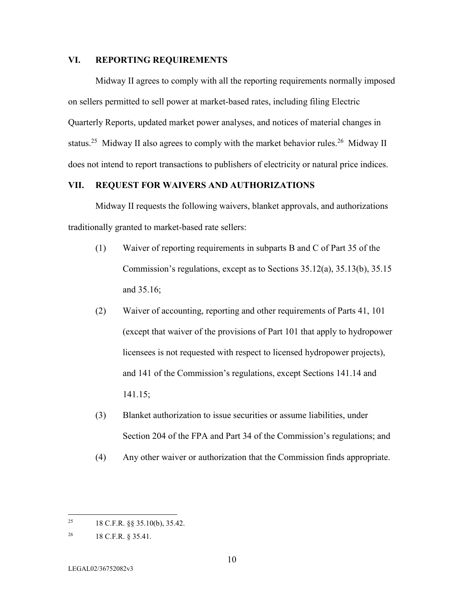### **VI. REPORTING REQUIREMENTS**

Midway II agrees to comply with all the reporting requirements normally imposed on sellers permitted to sell power at market-based rates, including filing Electric Quarterly Reports, updated market power analyses, and notices of material changes in status.<sup>25</sup> Midway II also agrees to comply with the market behavior rules.<sup>26</sup> Midway II does not intend to report transactions to publishers of electricity or natural price indices.

# **VII. REQUEST FOR WAIVERS AND AUTHORIZATIONS**

Midway II requests the following waivers, blanket approvals, and authorizations traditionally granted to market-based rate sellers:

- (1) Waiver of reporting requirements in subparts B and C of Part 35 of the Commission's regulations, except as to Sections 35.12(a), 35.13(b), 35.15 and 35.16;
- (2) Waiver of accounting, reporting and other requirements of Parts 41, 101 (except that waiver of the provisions of Part 101 that apply to hydropower licensees is not requested with respect to licensed hydropower projects), and 141 of the Commission's regulations, except Sections 141.14 and 141.15;
- (3) Blanket authorization to issue securities or assume liabilities, under Section 204 of the FPA and Part 34 of the Commission's regulations; and
- (4) Any other waiver or authorization that the Commission finds appropriate.

<sup>&</sup>lt;sup>25</sup> 18 C.F.R.  $\&$  35.10(b), 35.42.

<sup>26</sup> 18 C.F.R. § 35.41.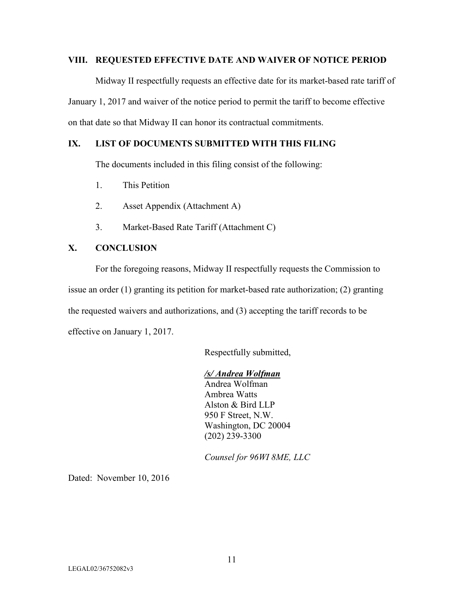### **VIII. REQUESTED EFFECTIVE DATE AND WAIVER OF NOTICE PERIOD**

Midway II respectfully requests an effective date for its market-based rate tariff of January 1, 2017 and waiver of the notice period to permit the tariff to become effective on that date so that Midway II can honor its contractual commitments.

# **IX. LIST OF DOCUMENTS SUBMITTED WITH THIS FILING**

The documents included in this filing consist of the following:

- 1. This Petition
- 2. Asset Appendix (Attachment A)
- 3. Market-Based Rate Tariff (Attachment C)

# **X. CONCLUSION**

For the foregoing reasons, Midway II respectfully requests the Commission to issue an order (1) granting its petition for market-based rate authorization; (2) granting the requested waivers and authorizations, and (3) accepting the tariff records to be effective on January 1, 2017.

Respectfully submitted,

# */s/ Andrea Wolfman*

Andrea Wolfman Ambrea Watts Alston & Bird LLP 950 F Street, N.W. Washington, DC 20004 (202) 239-3300

*Counsel for 96WI 8ME, LLC*

Dated: November 10, 2016